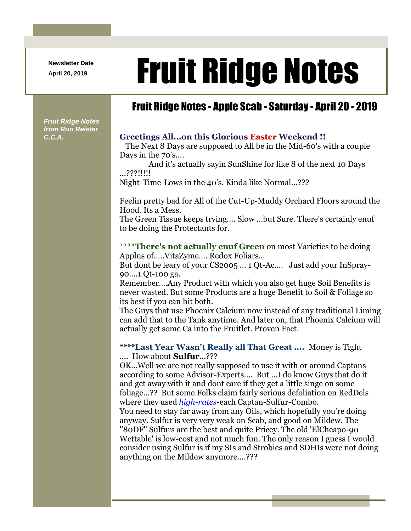**Newsletter Date**

## April 20, 2019 **Fruit Ridge Notes**

## Fruit Ridge Notes - Apple Scab - Saturday - April 20 - 2019

*Fruit Ridge Notes from Ron Reister* 

## *C.C.A.* **Greetings All...on this Glorious Easter Weekend !!**

The Next 8 Days are supposed to All be in the Mid-60's with a couple Days in the 70's....

And it's actually sayin SunShine for like 8 of the next 10 Days ...???!!!!!

Night-Time-Lows in the 40's. Kinda like Normal...???

Feelin pretty bad for All of the Cut-Up-Muddy Orchard Floors around the Hood. Its a Mess.

The Green Tissue keeps trying.... Slow ...but Sure. There's certainly enuf to be doing the Protectants for.

**\*\*\*\*There's not actually enuf Green** on most Varieties to be doing Applns of.....VitaZyme.... Redox Foliars...

But dont be leary of your CS2005 ... 1 Qt-Ac.... Just add your InSpray-90....1 Qt-100 ga.

Remember....Any Product with which you also get huge Soil Benefits is never wasted. But some Products are a huge Benefit to Soil & Foliage so its best if you can hit both.

The Guys that use Phoenix Calcium now instead of any traditional Liming can add that to the Tank anytime. And later on, that Phoenix Calcium will actually get some Ca into the Fruitlet. Proven Fact.

**\*\*\*\*Last Year Wasn't Really all That Great ....** Money is Tight .... How about **Sulfur**...???

OK...Well we are not really supposed to use it with or around Captans according to some Advisor-Experts.... But ...I do know Guys that do it and get away with it and dont care if they get a little singe on some foliage...?? But some Folks claim fairly serious defoliation on RedDels where they used *high-rates*-each Captan-Sulfur-Combo. You need to stay far away from any Oils, which hopefully you're doing anyway. Sulfur is very very weak on Scab, and good on Mildew. The ''80DF'' Sulfurs are the best and quite Pricey. The old 'ElCheapo-90

Wettable' is low-cost and not much fun. The only reason I guess I would consider using Sulfur is if my SIs and Strobies and SDHIs were not doing anything on the Mildew anymore....???